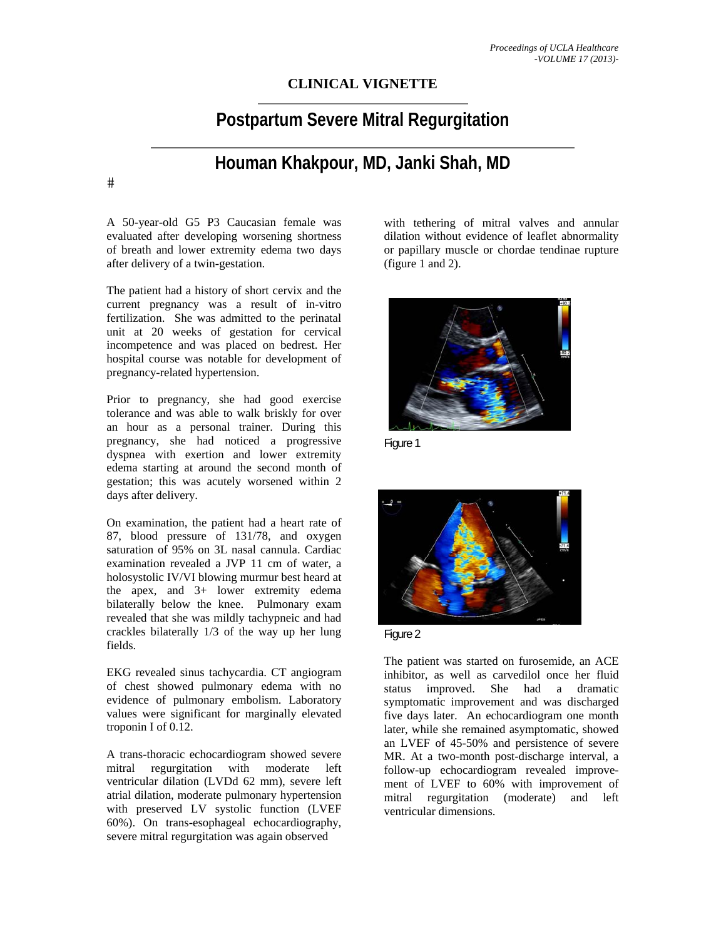### **CLINICAL VIGNETTE**

# **Postpartum Severe Mitral Regurgitation**

## **Houman Khakpour, MD, Janki Shah, MD**

 $#$ 

A 50-year-old G5 P3 Caucasian female was evaluated after developing worsening shortness of breath and lower extremity edema two days after delivery of a twin-gestation.

The patient had a history of short cervix and the current pregnancy was a result of in-vitro fertilization. She was admitted to the perinatal unit at 20 weeks of gestation for cervical incompetence and was placed on bedrest. Her hospital course was notable for development of pregnancy-related hypertension.

Prior to pregnancy, she had good exercise tolerance and was able to walk briskly for over an hour as a personal trainer. During this pregnancy, she had noticed a progressive dyspnea with exertion and lower extremity edema starting at around the second month of gestation; this was acutely worsened within 2 days after delivery.

On examination, the patient had a heart rate of 87, blood pressure of 131/78, and oxygen saturation of 95% on 3L nasal cannula. Cardiac examination revealed a JVP 11 cm of water, a holosystolic IV/VI blowing murmur best heard at the apex, and 3+ lower extremity edema bilaterally below the knee. Pulmonary exam revealed that she was mildly tachypneic and had crackles bilaterally 1/3 of the way up her lung fields.

EKG revealed sinus tachycardia. CT angiogram of chest showed pulmonary edema with no evidence of pulmonary embolism. Laboratory values were significant for marginally elevated troponin I of 0.12.

A trans-thoracic echocardiogram showed severe mitral regurgitation with moderate left ventricular dilation (LVDd 62 mm), severe left atrial dilation, moderate pulmonary hypertension with preserved LV systolic function (LVEF 60%). On trans-esophageal echocardiography, severe mitral regurgitation was again observed

with tethering of mitral valves and annular dilation without evidence of leaflet abnormality or papillary muscle or chordae tendinae rupture (figure 1 and 2).



Figure 1





The patient was started on furosemide, an ACE inhibitor, as well as carvedilol once her fluid status improved. She had a dramatic symptomatic improvement and was discharged five days later. An echocardiogram one month later, while she remained asymptomatic, showed an LVEF of 45-50% and persistence of severe MR. At a two-month post-discharge interval, a follow-up echocardiogram revealed improvement of LVEF to 60% with improvement of mitral regurgitation (moderate) and left ventricular dimensions.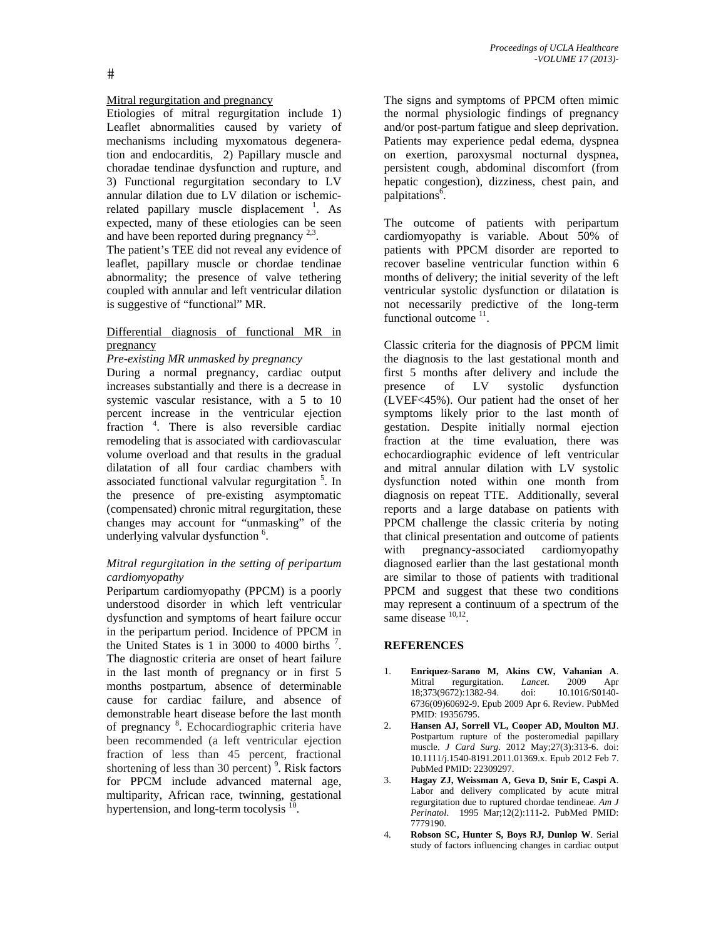#### Mitral regurgitation and pregnancy

Etiologies of mitral regurgitation include 1) Leaflet abnormalities caused by variety of mechanisms including myxomatous degeneration and endocarditis, 2) Papillary muscle and choradae tendinae dysfunction and rupture, and 3) Functional regurgitation secondary to LV annular dilation due to LV dilation or ischemicrelated papillary muscle displacement  $\frac{1}{1}$ . As expected, many of these etiologies can be seen and have been reported during pregnancy  $2,3$ .

The patient's TEE did not reveal any evidence of leaflet, papillary muscle or chordae tendinae abnormality; the presence of valve tethering coupled with annular and left ventricular dilation is suggestive of "functional" MR.

#### Differential diagnosis of functional MR in pregnancy

#### *Pre-existing MR unmasked by pregnancy*

During a normal pregnancy, cardiac output increases substantially and there is a decrease in systemic vascular resistance, with a 5 to 10 percent increase in the ventricular ejection fraction <sup>4</sup> . There is also reversible cardiac remodeling that is associated with cardiovascular volume overload and that results in the gradual dilatation of all four cardiac chambers with associated functional valvular regurgitation<sup>5</sup>. In the presence of pre-existing asymptomatic (compensated) chronic mitral regurgitation, these changes may account for "unmasking" of the underlying valvular dysfunction <sup>6</sup>.

#### *Mitral regurgitation in the setting of peripartum cardiomyopathy*

Peripartum cardiomyopathy (PPCM) is a poorly understood disorder in which left ventricular dysfunction and symptoms of heart failure occur in the peripartum period. Incidence of PPCM in the United States is 1 in 3000 to 4000 births  $^7$ . The diagnostic criteria are onset of heart failure in the last month of pregnancy or in first 5 months postpartum, absence of determinable cause for cardiac failure, and absence of demonstrable heart disease before the last month of pregnancy <sup>8</sup>. Echocardiographic criteria have been recommended (a left ventricular ejection fraction of less than 45 percent, fractional shortening of less than 30 percent)<sup>9</sup>. Risk factors for PPCM include advanced maternal age, multiparity, African race, twinning, gestational hypertension, and long-term tocolysis $<sup>1</sup>$ </sup>

The signs and symptoms of PPCM often mimic the normal physiologic findings of pregnancy and/or post-partum fatigue and sleep deprivation. Patients may experience pedal edema, dyspnea on exertion, paroxysmal nocturnal dyspnea, persistent cough, abdominal discomfort (from hepatic congestion), dizziness, chest pain, and palpitations<sup>6</sup>.

The outcome of patients with peripartum cardiomyopathy is variable. About 50% of patients with PPCM disorder are reported to recover baseline ventricular function within 6 months of delivery; the initial severity of the left ventricular systolic dysfunction or dilatation is not necessarily predictive of the long-term functional outcome<sup>11</sup>.

Classic criteria for the diagnosis of PPCM limit the diagnosis to the last gestational month and first 5 months after delivery and include the<br>presence of LV systolic dysfunction presence of LV systolic dysfunction (LVEF<45%). Our patient had the onset of her symptoms likely prior to the last month of gestation. Despite initially normal ejection fraction at the time evaluation, there was echocardiographic evidence of left ventricular and mitral annular dilation with LV systolic dysfunction noted within one month from diagnosis on repeat TTE. Additionally, several reports and a large database on patients with PPCM challenge the classic criteria by noting that clinical presentation and outcome of patients with pregnancy-associated cardiomyopathy diagnosed earlier than the last gestational month are similar to those of patients with traditional PPCM and suggest that these two conditions may represent a continuum of a spectrum of the same disease  $10,12$ .

#### **REFERENCES**

- 1. **Enriquez-Sarano M, Akins CW, Vahanian A**. Mitral regurgitation. *Lancet*. 2009 Apr 18;373(9672):1382-94. doi: 6736(09)60692-9. Epub 2009 Apr 6. Review. PubMed PMID: 19356795.
- 2. **Hansen AJ, Sorrell VL, Cooper AD, Moulton MJ**. Postpartum rupture of the posteromedial papillary muscle. *J Card Surg*. 2012 May;27(3):313-6. doi: 10.1111/j.1540-8191.2011.01369.x. Epub 2012 Feb 7. PubMed PMID: 22309297.
- 3. **Hagay ZJ, Weissman A, Geva D, Snir E, Caspi A**. Labor and delivery complicated by acute mitral regurgitation due to ruptured chordae tendineae. *Am J Perinatol*. 1995 Mar;12(2):111-2. PubMed PMID: 7779190.
- 4. **Robson SC, Hunter S, Boys RJ, Dunlop W**. Serial study of factors influencing changes in cardiac output